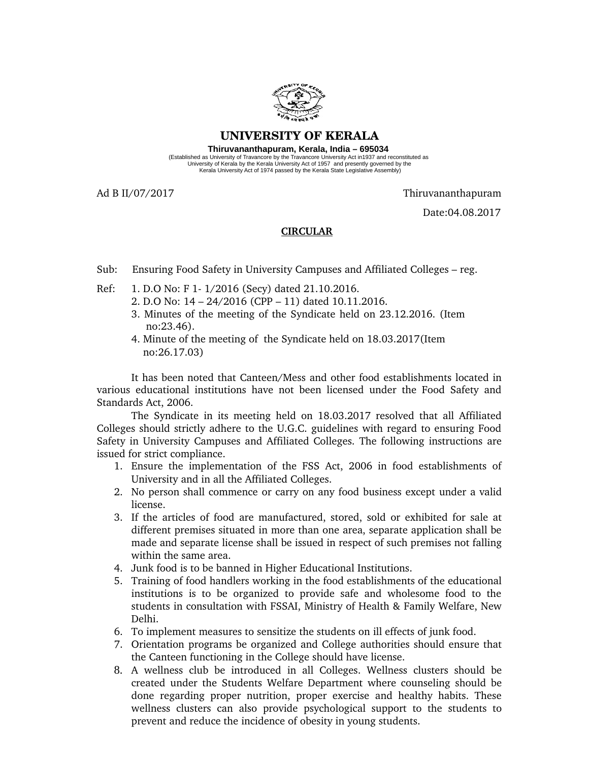

## **UNIVERSITY OF KERALA**

**Thiruvananthapuram, Kerala, India – 695034**  (Established as University of Travancore by the Travancore University Act in1937 and reconstituted as<br>University of Kerala by the Kerala University Act of 1957 and presently governed by the<br>Kerala University Act of 1974 pa

Ad B II/07/2017 Thiruvananthapuram

Date:04.08.2017

## **CIRCULAR**

- Sub: Ensuring Food Safety in University Campuses and Affiliated Colleges reg.
- Ref: 1. D.O No: F 1-1/2016 (Secy) dated 21.10.2016.
	- 2. D.O No: 14 24/2016 (CPP 11) dated 10.11.2016.
	- 3. Minutes of the meeting of the Syndicate held on 23.12.2016. (Item no:23.46).
	- 4. Minute of the meeting of the Syndicate held on 18.03.2017(Item no:26.17.03)

It has been noted that Canteen/Mess and other food establishments located in various educational institutions have not been licensed under the Food Safety and Standards Act, 2006.

The Syndicate in its meeting held on 18.03.2017 resolved that all Affiliated Colleges should strictly adhere to the U.G.C. guidelines with regard to ensuring Food Safety in University Campuses and Affiliated Colleges. The following instructions are issued for strict compliance.

- 1. Ensure the implementation of the FSS Act, 2006 in food establishments of University and in all the Affiliated Colleges.
- 2. No person shall commence or carry on any food business except under a valid license.
- 3. If the articles of food are manufactured, stored, sold or exhibited for sale at different premises situated in more than one area, separate application shall be made and separate license shall be issued in respect of such premises not falling within the same area.
- 4. Junk food is to be banned in Higher Educational Institutions.
- 5. Training of food handlers working in the food establishments of the educational institutions is to be organized to provide safe and wholesome food to the students in consultation with FSSAI, Ministry of Health & Family Welfare, New Delhi.
- 6. To implement measures to sensitize the students on ill effects of junk food.
- 7. Orientation programs be organized and College authorities should ensure that the Canteen functioning in the College should have license.
- 8. A wellness club be introduced in all Colleges. Wellness clusters should be created under the Students Welfare Department where counseling should be done regarding proper nutrition, proper exercise and healthy habits. These wellness clusters can also provide psychological support to the students to prevent and reduce the incidence of obesity in young students.